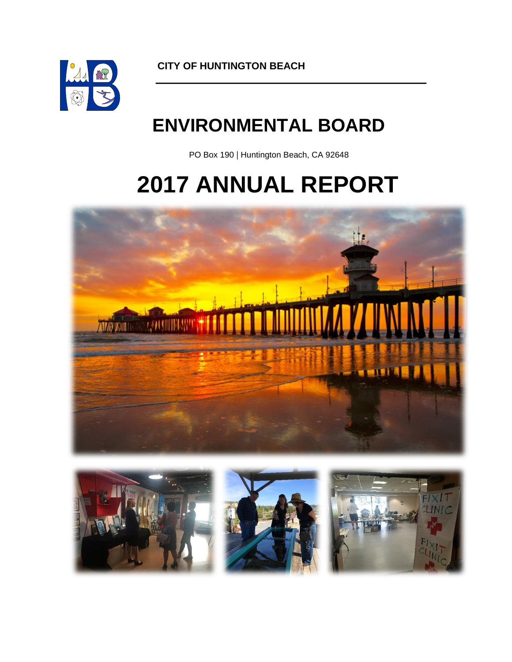

**CITY OF HUNTINGTON BEACH**

# **ENVIRONMENTAL BOARD**

PO Box 190 | Huntington Beach, CA 92648

# **2017 ANNUAL REPORT**



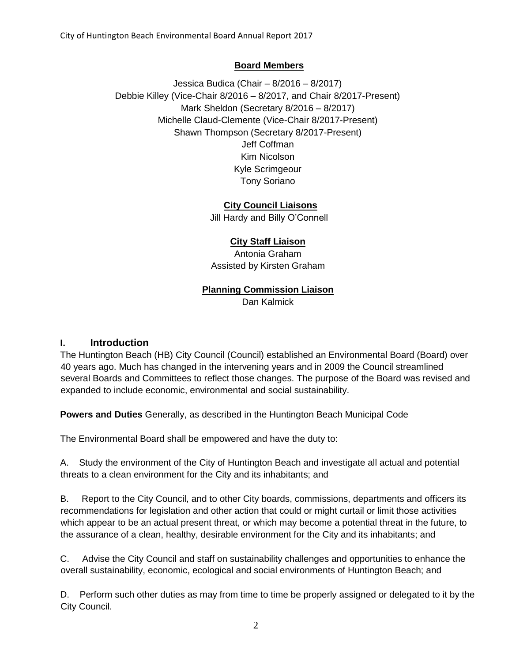#### **Board Members**

Jessica Budica (Chair – 8/2016 – 8/2017) Debbie Killey (Vice-Chair 8/2016 – 8/2017, and Chair 8/2017-Present) Mark Sheldon (Secretary 8/2016 – 8/2017) Michelle Claud-Clemente (Vice-Chair 8/2017-Present) Shawn Thompson (Secretary 8/2017-Present) Jeff Coffman Kim Nicolson Kyle Scrimgeour Tony Soriano

#### **City Council Liaisons**

Jill Hardy and Billy O'Connell

#### **City Staff Liaison**

Antonia Graham Assisted by Kirsten Graham

#### **Planning Commission Liaison**

Dan Kalmick

#### **I. Introduction**

The Huntington Beach (HB) City Council (Council) established an Environmental Board (Board) over 40 years ago. Much has changed in the intervening years and in 2009 the Council streamlined several Boards and Committees to reflect those changes. The purpose of the Board was revised and expanded to include economic, environmental and social sustainability.

**Powers and Duties** Generally, as described in the Huntington Beach Municipal Code

The Environmental Board shall be empowered and have the duty to:

A. Study the environment of the City of Huntington Beach and investigate all actual and potential threats to a clean environment for the City and its inhabitants; and

B. Report to the City Council, and to other City boards, commissions, departments and officers its recommendations for legislation and other action that could or might curtail or limit those activities which appear to be an actual present threat, or which may become a potential threat in the future, to the assurance of a clean, healthy, desirable environment for the City and its inhabitants; and

C. Advise the City Council and staff on sustainability challenges and opportunities to enhance the overall sustainability, economic, ecological and social environments of Huntington Beach; and

D. Perform such other duties as may from time to time be properly assigned or delegated to it by the City Council.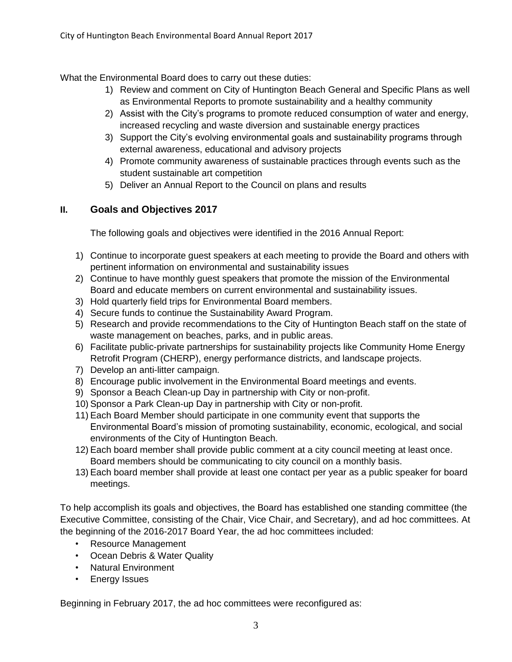What the Environmental Board does to carry out these duties:

- 1) Review and comment on City of Huntington Beach General and Specific Plans as well as Environmental Reports to promote sustainability and a healthy community
- 2) Assist with the City's programs to promote reduced consumption of water and energy, increased recycling and waste diversion and sustainable energy practices
- 3) Support the City's evolving environmental goals and sustainability programs through external awareness, educational and advisory projects
- 4) Promote community awareness of sustainable practices through events such as the student sustainable art competition
- 5) Deliver an Annual Report to the Council on plans and results

# **II. Goals and Objectives 2017**

The following goals and objectives were identified in the 2016 Annual Report:

- 1) Continue to incorporate guest speakers at each meeting to provide the Board and others with pertinent information on environmental and sustainability issues
- 2) Continue to have monthly guest speakers that promote the mission of the Environmental Board and educate members on current environmental and sustainability issues.
- 3) Hold quarterly field trips for Environmental Board members.
- 4) Secure funds to continue the Sustainability Award Program.
- 5) Research and provide recommendations to the City of Huntington Beach staff on the state of waste management on beaches, parks, and in public areas.
- 6) Facilitate public-private partnerships for sustainability projects like Community Home Energy Retrofit Program (CHERP), energy performance districts, and landscape projects.
- 7) Develop an anti-litter campaign.
- 8) Encourage public involvement in the Environmental Board meetings and events.
- 9) Sponsor a Beach Clean-up Day in partnership with City or non-profit.
- 10) Sponsor a Park Clean-up Day in partnership with City or non-profit.
- 11) Each Board Member should participate in one community event that supports the Environmental Board's mission of promoting sustainability, economic, ecological, and social environments of the City of Huntington Beach.
- 12) Each board member shall provide public comment at a city council meeting at least once. Board members should be communicating to city council on a monthly basis.
- 13) Each board member shall provide at least one contact per year as a public speaker for board meetings.

To help accomplish its goals and objectives, the Board has established one standing committee (the Executive Committee, consisting of the Chair, Vice Chair, and Secretary), and ad hoc committees. At the beginning of the 2016-2017 Board Year, the ad hoc committees included:

- Resource Management
- Ocean Debris & Water Quality
- Natural Environment
- Energy Issues

Beginning in February 2017, the ad hoc committees were reconfigured as: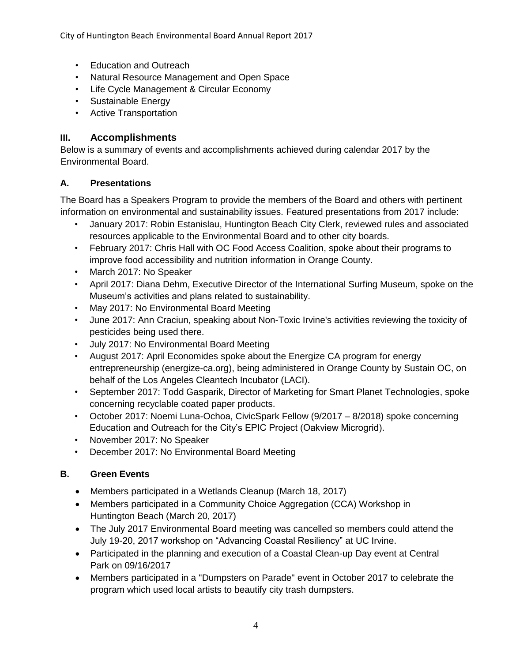City of Huntington Beach Environmental Board Annual Report 2017

- Education and Outreach
- Natural Resource Management and Open Space
- Life Cycle Management & Circular Economy
- Sustainable Energy
- Active Transportation

## **III. Accomplishments**

Below is a summary of events and accomplishments achieved during calendar 2017 by the Environmental Board.

#### **A. Presentations**

The Board has a Speakers Program to provide the members of the Board and others with pertinent information on environmental and sustainability issues. Featured presentations from 2017 include:

- January 2017: Robin Estanislau, Huntington Beach City Clerk, reviewed rules and associated resources applicable to the Environmental Board and to other city boards.
- February 2017: Chris Hall with OC Food Access Coalition, spoke about their programs to improve food accessibility and nutrition information in Orange County.
- March 2017: No Speaker
- April 2017: Diana Dehm, Executive Director of the International Surfing Museum, spoke on the Museum's activities and plans related to sustainability.
- May 2017: No Environmental Board Meeting
- June 2017: Ann Craciun, speaking about Non-Toxic Irvine's activities reviewing the toxicity of pesticides being used there.
- July 2017: No Environmental Board Meeting
- August 2017: April Economides spoke about the Energize CA program for energy entrepreneurship (energize-ca.org), being administered in Orange County by Sustain OC, on behalf of the Los Angeles Cleantech Incubator (LACI).
- September 2017: Todd Gasparik, Director of Marketing for Smart Planet Technologies, spoke concerning recyclable coated paper products.
- October 2017: Noemi Luna-Ochoa, CivicSpark Fellow (9/2017 8/2018) spoke concerning Education and Outreach for the City's EPIC Project (Oakview Microgrid).
- November 2017: No Speaker
- December 2017: No Environmental Board Meeting

# **B. Green Events**

- Members participated in a Wetlands Cleanup (March 18, 2017)
- Members participated in a Community Choice Aggregation (CCA) Workshop in Huntington Beach (March 20, 2017)
- The July 2017 Environmental Board meeting was cancelled so members could attend the July 19-20, 2017 workshop on "Advancing Coastal Resiliency" at UC Irvine.
- Participated in the planning and execution of a Coastal Clean-up Day event at Central Park on 09/16/2017
- Members participated in a "Dumpsters on Parade" event in October 2017 to celebrate the program which used local artists to beautify city trash dumpsters.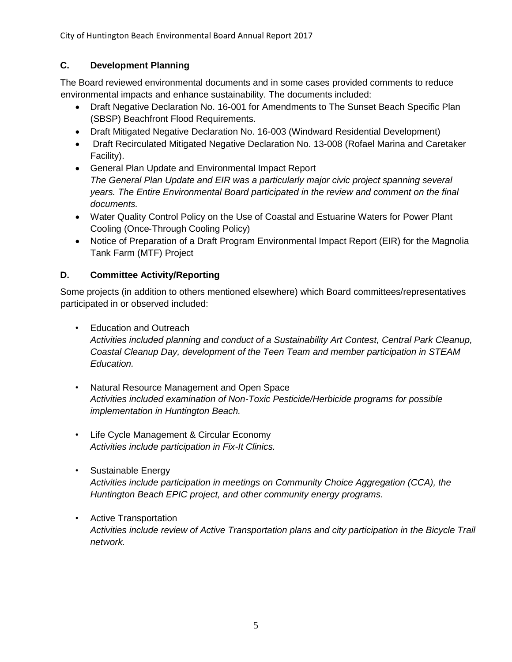## **C. Development Planning**

The Board reviewed environmental documents and in some cases provided comments to reduce environmental impacts and enhance sustainability. The documents included:

- Draft Negative Declaration No. 16-001 for Amendments to The Sunset Beach Specific Plan (SBSP) Beachfront Flood Requirements.
- Draft Mitigated Negative Declaration No. 16-003 (Windward Residential Development)
- Draft Recirculated Mitigated Negative Declaration No. 13-008 (Rofael Marina and Caretaker Facility).
- General Plan Update and Environmental Impact Report *The General Plan Update and EIR was a particularly major civic project spanning several years. The Entire Environmental Board participated in the review and comment on the final documents.*
- Water Quality Control Policy on the Use of Coastal and Estuarine Waters for Power Plant Cooling (Once‐Through Cooling Policy)
- Notice of Preparation of a Draft Program Environmental Impact Report (EIR) for the Magnolia Tank Farm (MTF) Project

## **D. Committee Activity/Reporting**

Some projects (in addition to others mentioned elsewhere) which Board committees/representatives participated in or observed included:

• Education and Outreach

*Activities included planning and conduct of a Sustainability Art Contest, Central Park Cleanup, Coastal Cleanup Day, development of the Teen Team and member participation in STEAM Education.*

- Natural Resource Management and Open Space *Activities included examination of Non-Toxic Pesticide/Herbicide programs for possible implementation in Huntington Beach.*
- Life Cycle Management & Circular Economy *Activities include participation in Fix-It Clinics.*
- Sustainable Energy *Activities include participation in meetings on Community Choice Aggregation (CCA), the Huntington Beach EPIC project, and other community energy programs.*
- Active Transportation *Activities include review of Active Transportation plans and city participation in the Bicycle Trail network.*